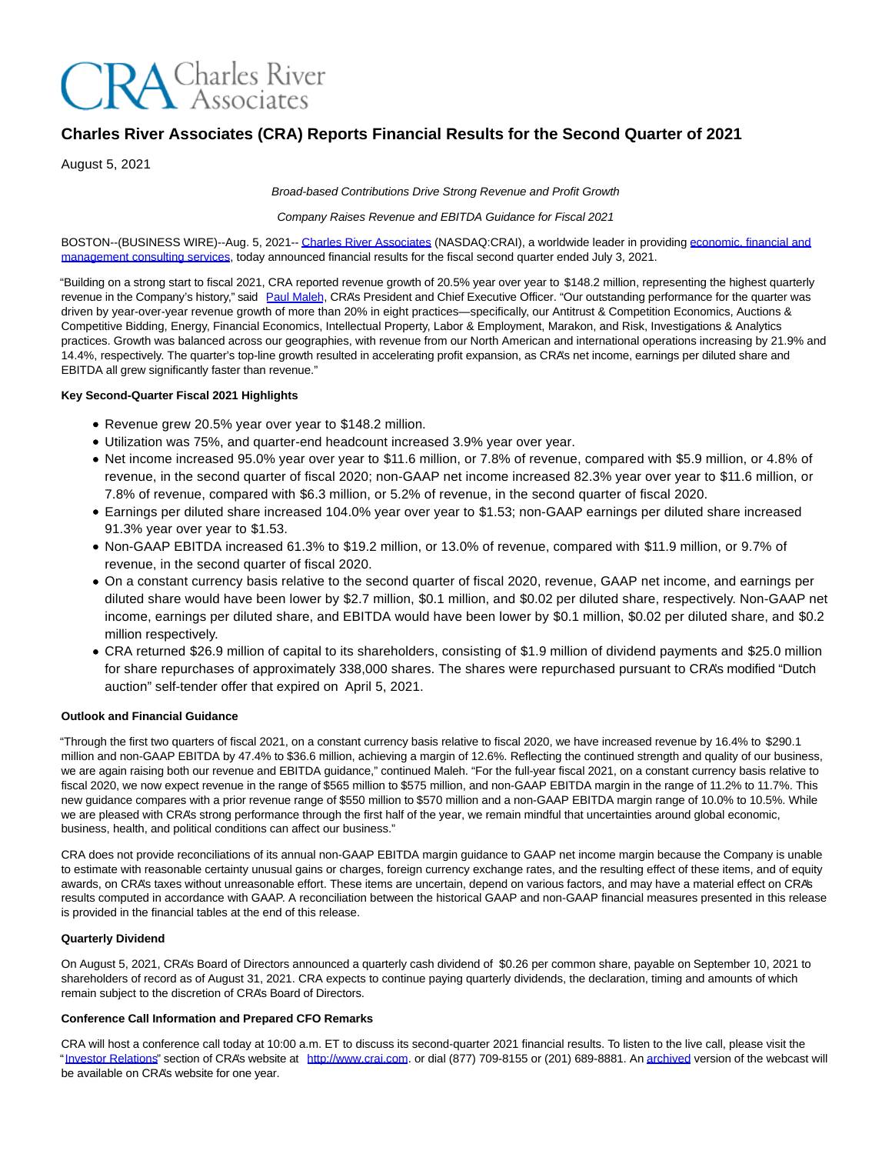

# **Charles River Associates (CRA) Reports Financial Results for the Second Quarter of 2021**

August 5, 2021

Broad-based Contributions Drive Strong Revenue and Profit Growth

Company Raises Revenue and EBITDA Guidance for Fiscal 2021

BOSTON--(BUSINESS WIRE)--Aug. 5, 2021-[- Charles River Associates \(](https://cts.businesswire.com/ct/CT?id=smartlink&url=https%3A%2F%2Fwww.crai.com%2F&esheet=52472047&newsitemid=20210805005207&lan=en-US&anchor=Charles+River+Associates&index=1&md5=0b5c828157de75319c71da3135e7042e)NASDAQ:CRAI), a worldwide leader in providing [economic, financial and](https://cts.businesswire.com/ct/CT?id=smartlink&url=https%3A%2F%2Fwww.crai.com%2F&esheet=52472047&newsitemid=20210805005207&lan=en-US&anchor=economic%2C+financial+and+management+consulting+services&index=2&md5=00626f2e81fc94764dd4deb75b5760e0) management consulting services, today announced financial results for the fiscal second quarter ended July 3, 2021.

"Building on a strong start to fiscal 2021, CRA reported revenue growth of 20.5% year over year to \$148.2 million, representing the highest quarterly revenue in the Company's history," said [Paul Maleh,](https://cts.businesswire.com/ct/CT?id=smartlink&url=https%3A%2F%2Fwww.crai.com%2Four-people%2Fpaul-maleh%2F&esheet=52472047&newsitemid=20210805005207&lan=en-US&anchor=Paul+Maleh&index=3&md5=f5683e13af947db8865a5b1d84fdc763) CRA's President and Chief Executive Officer. "Our outstanding performance for the quarter was driven by year-over-year revenue growth of more than 20% in eight practices—specifically, our Antitrust & Competition Economics, Auctions & Competitive Bidding, Energy, Financial Economics, Intellectual Property, Labor & Employment, Marakon, and Risk, Investigations & Analytics practices. Growth was balanced across our geographies, with revenue from our North American and international operations increasing by 21.9% and 14.4%, respectively. The quarter's top-line growth resulted in accelerating profit expansion, as CRA's net income, earnings per diluted share and EBITDA all grew significantly faster than revenue."

## **Key Second-Quarter Fiscal 2021 Highlights**

- Revenue grew 20.5% year over year to \$148.2 million.
- Utilization was 75%, and quarter-end headcount increased 3.9% year over year.
- Net income increased 95.0% year over year to \$11.6 million, or 7.8% of revenue, compared with \$5.9 million, or 4.8% of revenue, in the second quarter of fiscal 2020; non-GAAP net income increased 82.3% year over year to \$11.6 million, or 7.8% of revenue, compared with \$6.3 million, or 5.2% of revenue, in the second quarter of fiscal 2020.
- Earnings per diluted share increased 104.0% year over year to \$1.53; non-GAAP earnings per diluted share increased 91.3% year over year to \$1.53.
- Non-GAAP EBITDA increased 61.3% to \$19.2 million, or 13.0% of revenue, compared with \$11.9 million, or 9.7% of revenue, in the second quarter of fiscal 2020.
- On a constant currency basis relative to the second quarter of fiscal 2020, revenue, GAAP net income, and earnings per diluted share would have been lower by \$2.7 million, \$0.1 million, and \$0.02 per diluted share, respectively. Non-GAAP net income, earnings per diluted share, and EBITDA would have been lower by \$0.1 million, \$0.02 per diluted share, and \$0.2 million respectively.
- CRA returned \$26.9 million of capital to its shareholders, consisting of \$1.9 million of dividend payments and \$25.0 million for share repurchases of approximately 338,000 shares. The shares were repurchased pursuant to CRA's modified "Dutch auction" self-tender offer that expired on April 5, 2021.

### **Outlook and Financial Guidance**

"Through the first two quarters of fiscal 2021, on a constant currency basis relative to fiscal 2020, we have increased revenue by 16.4% to \$290.1 million and non-GAAP EBITDA by 47.4% to \$36.6 million, achieving a margin of 12.6%. Reflecting the continued strength and quality of our business, we are again raising both our revenue and EBITDA guidance," continued Maleh. "For the full-year fiscal 2021, on a constant currency basis relative to fiscal 2020, we now expect revenue in the range of \$565 million to \$575 million, and non-GAAP EBITDA margin in the range of 11.2% to 11.7%. This new guidance compares with a prior revenue range of \$550 million to \$570 million and a non-GAAP EBITDA margin range of 10.0% to 10.5%. While we are pleased with CRA's strong performance through the first half of the year, we remain mindful that uncertainties around global economic, business, health, and political conditions can affect our business."

CRA does not provide reconciliations of its annual non-GAAP EBITDA margin guidance to GAAP net income margin because the Company is unable to estimate with reasonable certainty unusual gains or charges, foreign currency exchange rates, and the resulting effect of these items, and of equity awards, on CRA's taxes without unreasonable effort. These items are uncertain, depend on various factors, and may have a material effect on CRA's results computed in accordance with GAAP. A reconciliation between the historical GAAP and non-GAAP financial measures presented in this release is provided in the financial tables at the end of this release.

### **Quarterly Dividend**

On August 5, 2021, CRA's Board of Directors announced a quarterly cash dividend of \$0.26 per common share, payable on September 10, 2021 to shareholders of record as of August 31, 2021. CRA expects to continue paying quarterly dividends, the declaration, timing and amounts of which remain subject to the discretion of CRA's Board of Directors.

### **Conference Call Information and Prepared CFO Remarks**

CRA will host a conference call today at 10:00 a.m. ET to discuss its second-quarter 2021 financial results. To listen to the live call, please visit the ["Investor Relations"](https://cts.businesswire.com/ct/CT?id=smartlink&url=https%3A%2F%2Fcrainternationalinc.gcs-web.com%2Finvestor-overview&esheet=52472047&newsitemid=20210805005207&lan=en-US&anchor=Investor+Relations&index=4&md5=ab7c1071b5f951e76fd3ed46e057c19e) section of CRA's website at [http://www.crai.com.](https://cts.businesswire.com/ct/CT?id=smartlink&url=http%3A%2F%2Fwww.crai.com&esheet=52472047&newsitemid=20210805005207&lan=en-US&anchor=http%3A%2F%2Fwww.crai.com&index=5&md5=45f2625ce255588ca84f72bb6407037c) or dial (877) 709-8155 or (201) 689-8881. A[n archived v](https://cts.businesswire.com/ct/CT?id=smartlink&url=https%3A%2F%2Fcrainternationalinc.gcs-web.com%2Fevents-and-presentations%2Fpast-event&esheet=52472047&newsitemid=20210805005207&lan=en-US&anchor=archived&index=6&md5=7b2ff49076b2f6a4c8c7e848c3b77b96)ersion of the webcast will be available on CRA's website for one year.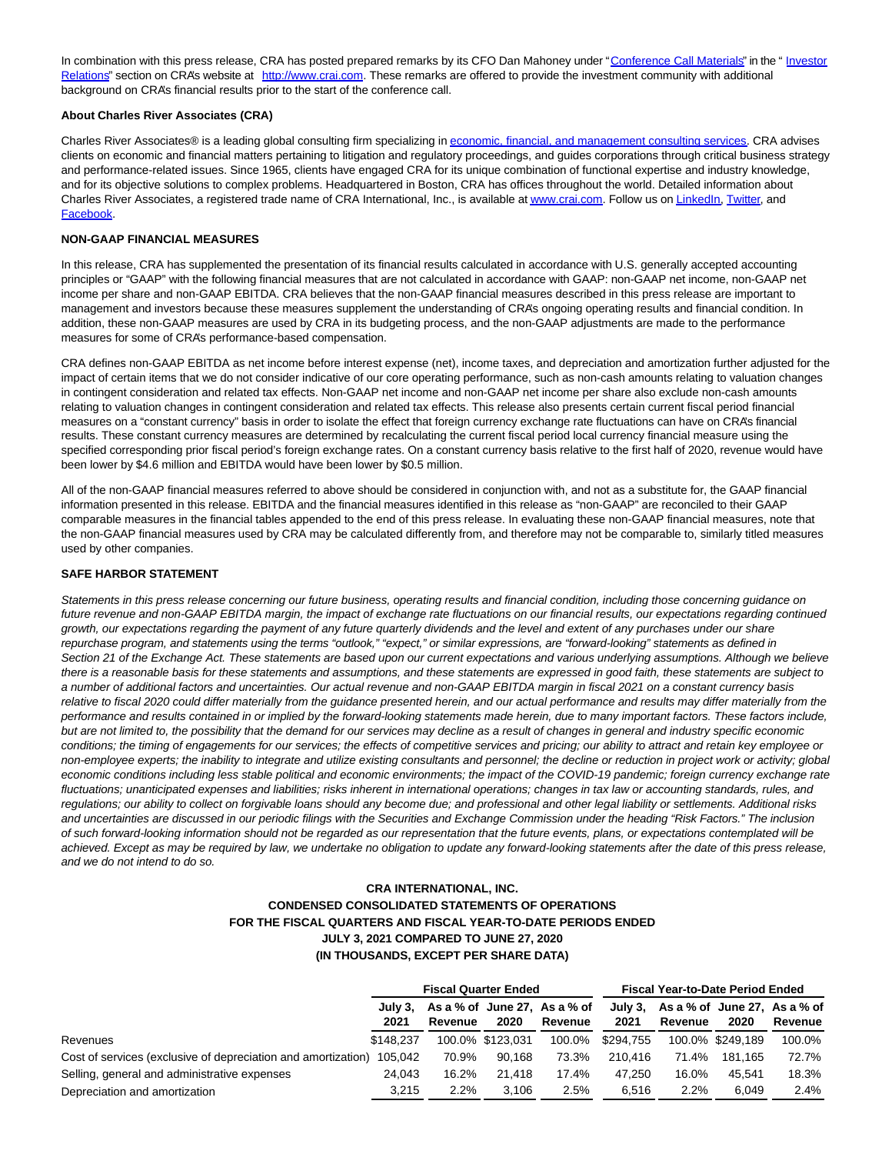In combination with this press release, CRA has posted prepared remarks by its CFO Dan Mahoney under ["Conference Call Materials"](https://cts.businesswire.com/ct/CT?id=smartlink&url=https%3A%2F%2Fcrainternationalinc.gcs-web.com%2Ffinancial-information%2Fquarterly-results&esheet=52472047&newsitemid=20210805005207&lan=en-US&anchor=Conference+Call+Materials&index=7&md5=964d3233d7304a527256537c66b3a772) in the " [Investor](https://cts.businesswire.com/ct/CT?id=smartlink&url=https%3A%2F%2Fcrainternationalinc.gcs-web.com%2Finvestor-overview&esheet=52472047&newsitemid=20210805005207&lan=en-US&anchor=Investor+Relations&index=8&md5=b3c6222c4bfd9f73985006da9d628c0a) Relations" section on CRA's website at [http://www.crai.com.](https://cts.businesswire.com/ct/CT?id=smartlink&url=http%3A%2F%2Fwww.crai.com&esheet=52472047&newsitemid=20210805005207&lan=en-US&anchor=http%3A%2F%2Fwww.crai.com&index=9&md5=b9d6067ac216cdd420004a65570fead1) These remarks are offered to provide the investment community with additional background on CRA's financial results prior to the start of the conference call.

### **About Charles River Associates (CRA)**

Charles River Associates® is a leading global consulting firm specializing i[n economic, financial, and management consulting services.](https://cts.businesswire.com/ct/CT?id=smartlink&url=https%3A%2F%2Fwww.crai.com%2F&esheet=52472047&newsitemid=20210805005207&lan=en-US&anchor=economic%2C+financial%2C+and+management+consulting+services&index=10&md5=c501f3fe9ce418abab1ed989bf595452) CRA advises clients on economic and financial matters pertaining to litigation and regulatory proceedings, and guides corporations through critical business strategy and performance-related issues. Since 1965, clients have engaged CRA for its unique combination of functional expertise and industry knowledge, and for its objective solutions to complex problems. Headquartered in Boston, CRA has offices throughout the world. Detailed information about Charles River Associates, a registered trade name of CRA International, Inc., is available a[t www.crai.com.](https://cts.businesswire.com/ct/CT?id=smartlink&url=http%3A%2F%2Fwww.crai.com&esheet=52472047&newsitemid=20210805005207&lan=en-US&anchor=www.crai.com&index=11&md5=d95fe72699ef7e5f2376faf006aee4d5) Follow us o[n LinkedIn,](https://cts.businesswire.com/ct/CT?id=smartlink&url=https%3A%2F%2Fwww.linkedin.com%2Fcompany%2Fcharles-river-associates%2F&esheet=52472047&newsitemid=20210805005207&lan=en-US&anchor=LinkedIn&index=12&md5=1f7e33c2f2c7798fd487b8767d28527d) [Twitter,](https://cts.businesswire.com/ct/CT?id=smartlink&url=https%3A%2F%2Ftwitter.com%2FNews_CRA&esheet=52472047&newsitemid=20210805005207&lan=en-US&anchor=Twitter&index=13&md5=725a5afd68ecc9cb08e462395b9e35f0) and [Facebook.](https://cts.businesswire.com/ct/CT?id=smartlink&url=https%3A%2F%2Fwww.facebook.com%2FCharlesRiverAssociates&esheet=52472047&newsitemid=20210805005207&lan=en-US&anchor=Facebook&index=14&md5=6bd390e35fdc010495be1d99e429c8e3)

## **NON-GAAP FINANCIAL MEASURES**

In this release, CRA has supplemented the presentation of its financial results calculated in accordance with U.S. generally accepted accounting principles or "GAAP" with the following financial measures that are not calculated in accordance with GAAP: non-GAAP net income, non-GAAP net income per share and non-GAAP EBITDA. CRA believes that the non-GAAP financial measures described in this press release are important to management and investors because these measures supplement the understanding of CRA's ongoing operating results and financial condition. In addition, these non-GAAP measures are used by CRA in its budgeting process, and the non-GAAP adjustments are made to the performance measures for some of CRA's performance-based compensation.

CRA defines non-GAAP EBITDA as net income before interest expense (net), income taxes, and depreciation and amortization further adjusted for the impact of certain items that we do not consider indicative of our core operating performance, such as non-cash amounts relating to valuation changes in contingent consideration and related tax effects. Non-GAAP net income and non-GAAP net income per share also exclude non-cash amounts relating to valuation changes in contingent consideration and related tax effects. This release also presents certain current fiscal period financial measures on a "constant currency" basis in order to isolate the effect that foreign currency exchange rate fluctuations can have on CRA's financial results. These constant currency measures are determined by recalculating the current fiscal period local currency financial measure using the specified corresponding prior fiscal period's foreign exchange rates. On a constant currency basis relative to the first half of 2020, revenue would have been lower by \$4.6 million and EBITDA would have been lower by \$0.5 million.

All of the non-GAAP financial measures referred to above should be considered in conjunction with, and not as a substitute for, the GAAP financial information presented in this release. EBITDA and the financial measures identified in this release as "non-GAAP" are reconciled to their GAAP comparable measures in the financial tables appended to the end of this press release. In evaluating these non-GAAP financial measures, note that the non-GAAP financial measures used by CRA may be calculated differently from, and therefore may not be comparable to, similarly titled measures used by other companies.

## **SAFE HARBOR STATEMENT**

Statements in this press release concerning our future business, operating results and financial condition, including those concerning guidance on future revenue and non-GAAP EBITDA margin, the impact of exchange rate fluctuations on our financial results, our expectations regarding continued growth, our expectations regarding the payment of any future quarterly dividends and the level and extent of any purchases under our share repurchase program, and statements using the terms "outlook," "expect," or similar expressions, are "forward-looking" statements as defined in Section 21 of the Exchange Act. These statements are based upon our current expectations and various underlying assumptions. Although we believe there is a reasonable basis for these statements and assumptions, and these statements are expressed in good faith, these statements are subject to a number of additional factors and uncertainties. Our actual revenue and non-GAAP EBITDA margin in fiscal 2021 on a constant currency basis relative to fiscal 2020 could differ materially from the guidance presented herein, and our actual performance and results may differ materially from the performance and results contained in or implied by the forward-looking statements made herein, due to many important factors. These factors include, but are not limited to, the possibility that the demand for our services may decline as a result of changes in general and industry specific economic conditions; the timing of engagements for our services; the effects of competitive services and pricing; our ability to attract and retain key employee or non-employee experts; the inability to integrate and utilize existing consultants and personnel; the decline or reduction in project work or activity; global economic conditions including less stable political and economic environments; the impact of the COVID-19 pandemic; foreign currency exchange rate fluctuations; unanticipated expenses and liabilities; risks inherent in international operations; changes in tax law or accounting standards, rules, and regulations; our ability to collect on forgivable loans should any become due; and professional and other legal liability or settlements. Additional risks and uncertainties are discussed in our periodic filings with the Securities and Exchange Commission under the heading "Risk Factors." The inclusion of such forward-looking information should not be regarded as our representation that the future events, plans, or expectations contemplated will be achieved. Except as may be required by law, we undertake no obligation to update any forward-looking statements after the date of this press release, and we do not intend to do so.

# **CRA INTERNATIONAL, INC. CONDENSED CONSOLIDATED STATEMENTS OF OPERATIONS FOR THE FISCAL QUARTERS AND FISCAL YEAR-TO-DATE PERIODS ENDED JULY 3, 2021 COMPARED TO JUNE 27, 2020 (IN THOUSANDS, EXCEPT PER SHARE DATA)**

|                                                               | <b>Fiscal Quarter Ended</b> |         |                  |                                                 | <b>Fiscal Year-to-Date Period Ended</b> |         |                  |                                                 |  |
|---------------------------------------------------------------|-----------------------------|---------|------------------|-------------------------------------------------|-----------------------------------------|---------|------------------|-------------------------------------------------|--|
|                                                               | 2021                        | Revenue | 2020             | July 3, As a % of June 27, As a % of<br>Revenue | 2021                                    | Revenue | 2020             | July 3, As a % of June 27, As a % of<br>Revenue |  |
| Revenues                                                      | \$148.237                   |         | 100.0% \$123.031 | 100.0%                                          | \$294.755                               |         | 100.0% \$249.189 | 100.0%                                          |  |
| Cost of services (exclusive of depreciation and amortization) | 105.042                     | 70.9%   | 90.168           | 73.3%                                           | 210.416                                 | 71.4%   | 181.165          | 72.7%                                           |  |
| Selling, general and administrative expenses                  | 24.043                      | 16.2%   | 21.418           | 17.4%                                           | 47.250                                  | 16.0%   | 45.541           | 18.3%                                           |  |
| Depreciation and amortization                                 | 3.215                       | 2.2%    | 3.106            | 2.5%                                            | 6.516                                   | 2.2%    | 6.049            | $2.4\%$                                         |  |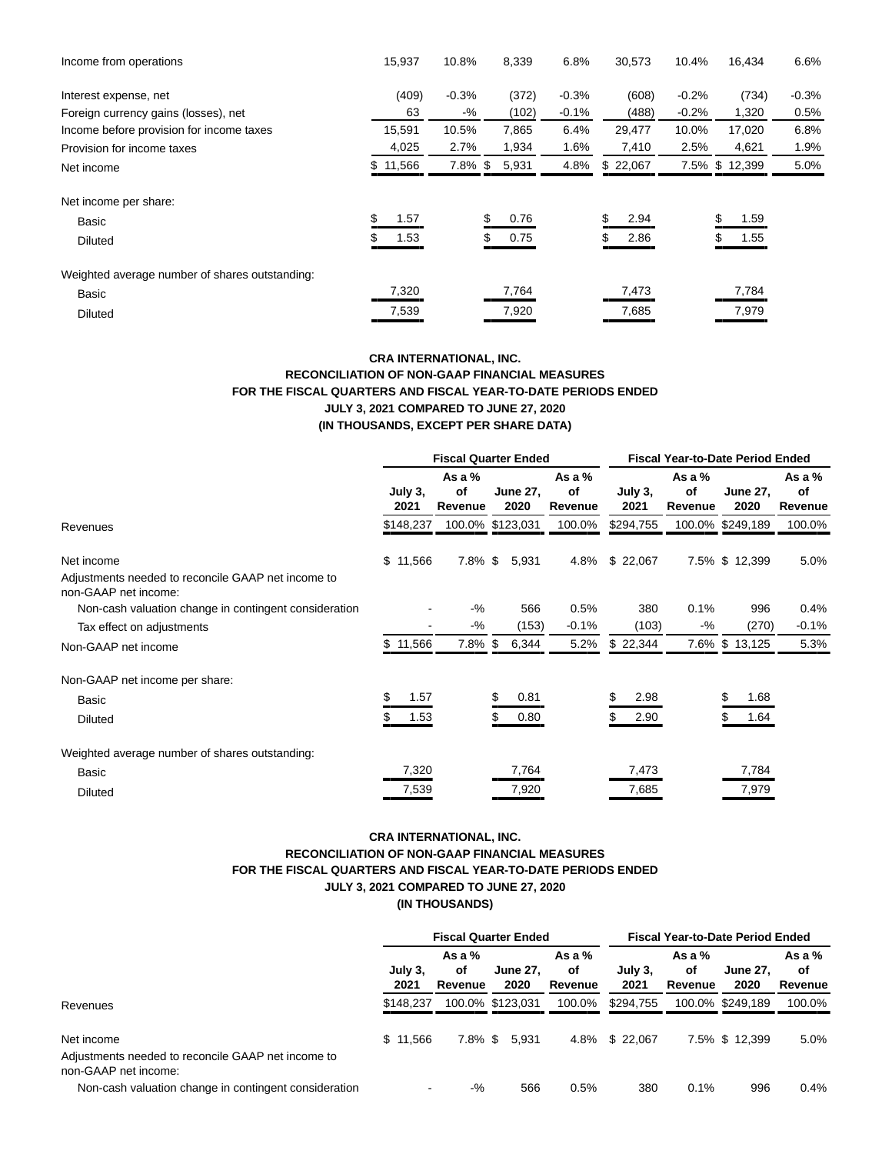| Income from operations                         | 15,937     | 10.8%      | 8,339 | 6.8%    | 30,573   | 10.4%   | 16,434         | 6.6%    |
|------------------------------------------------|------------|------------|-------|---------|----------|---------|----------------|---------|
| Interest expense, net                          | (409)      | $-0.3%$    | (372) | $-0.3%$ | (608)    | $-0.2%$ | (734)          | $-0.3%$ |
| Foreign currency gains (losses), net           | 63         | $-$ %      | (102) | $-0.1%$ | (488)    | $-0.2%$ | 1,320          | 0.5%    |
| Income before provision for income taxes       | 15,591     | 10.5%      | 7,865 | 6.4%    | 29,477   | 10.0%   | 17,020         | 6.8%    |
| Provision for income taxes                     | 4,025      | 2.7%       | 1,934 | 1.6%    | 7,410    | 2.5%    | 4,621          | 1.9%    |
| Net income                                     | \$11,566   | $7.8\%$ \$ | 5,931 | 4.8%    | \$22,067 |         | 7.5% \$ 12,399 | 5.0%    |
| Net income per share:                          |            |            |       |         |          |         |                |         |
| Basic                                          | \$<br>1.57 |            | 0.76  |         | 2.94     |         | \$<br>1.59     |         |
| <b>Diluted</b>                                 | 1.53       |            | 0.75  |         | 2.86     |         | 1.55           |         |
| Weighted average number of shares outstanding: |            |            |       |         |          |         |                |         |
| Basic                                          | 7,320      |            | 7,764 |         | 7,473    |         | 7,784          |         |
| <b>Diluted</b>                                 | 7,539      |            | 7,920 |         | 7,685    |         | 7,979          |         |

# **CRA INTERNATIONAL, INC. RECONCILIATION OF NON-GAAP FINANCIAL MEASURES FOR THE FISCAL QUARTERS AND FISCAL YEAR-TO-DATE PERIODS ENDED JULY 3, 2021 COMPARED TO JUNE 27, 2020 (IN THOUSANDS, EXCEPT PER SHARE DATA)**

|                                                                            |                 | <b>Fiscal Quarter Ended</b> |                         |                         | <b>Fiscal Year-to-Date Period Ended</b> |                           |                         |                           |  |  |
|----------------------------------------------------------------------------|-----------------|-----------------------------|-------------------------|-------------------------|-----------------------------------------|---------------------------|-------------------------|---------------------------|--|--|
|                                                                            | July 3,<br>2021 | As a %<br>οf<br>Revenue     | <b>June 27,</b><br>2020 | As a %<br>οf<br>Revenue | July 3,<br>2021                         | As a $%$<br>of<br>Revenue | <b>June 27,</b><br>2020 | As a $%$<br>of<br>Revenue |  |  |
| Revenues                                                                   | \$148,237       |                             | 100.0% \$123,031        | 100.0%                  | \$294,755                               |                           | 100.0% \$249,189        | 100.0%                    |  |  |
| Net income                                                                 | \$<br>11,566    | $7.8\%$ \$                  | 5,931                   | 4.8%                    | \$22,067                                |                           | 7.5% \$ 12,399          | 5.0%                      |  |  |
| Adjustments needed to reconcile GAAP net income to<br>non-GAAP net income: |                 |                             |                         |                         |                                         |                           |                         |                           |  |  |
| Non-cash valuation change in contingent consideration                      |                 | $-$ %                       | 566                     | 0.5%                    | 380                                     | 0.1%                      | 996                     | $0.4\%$                   |  |  |
| Tax effect on adjustments                                                  |                 | $-9/6$                      | (153)                   | $-0.1%$                 | (103)                                   | $-$ %                     | (270)                   | $-0.1%$                   |  |  |
| Non-GAAP net income                                                        | 11,566          | $7.8\%$ \$                  | 6,344                   | 5.2%                    | \$22,344                                |                           | 7.6% \$ 13,125          | 5.3%                      |  |  |
| Non-GAAP net income per share:                                             |                 |                             |                         |                         |                                         |                           |                         |                           |  |  |
| Basic                                                                      | 1.57            |                             | 0.81                    |                         | 2.98                                    |                           | \$<br>1.68              |                           |  |  |
| <b>Diluted</b>                                                             | 1.53            |                             | 0.80                    |                         | 2.90                                    |                           | 1.64                    |                           |  |  |
| Weighted average number of shares outstanding:                             |                 |                             |                         |                         |                                         |                           |                         |                           |  |  |
| Basic                                                                      | 7,320           |                             | 7,764                   |                         | 7,473                                   |                           | 7,784                   |                           |  |  |
| <b>Diluted</b>                                                             | 7,539           |                             | 7,920                   |                         | 7,685                                   |                           | 7,979                   |                           |  |  |

## **CRA INTERNATIONAL, INC. RECONCILIATION OF NON-GAAP FINANCIAL MEASURES FOR THE FISCAL QUARTERS AND FISCAL YEAR-TO-DATE PERIODS ENDED JULY 3, 2021 COMPARED TO JUNE 27, 2020 (IN THOUSANDS)**

|                                                                                          | <b>Fiscal Quarter Ended</b> |                           |                         |                           |                 | <b>Fiscal Year-to-Date Period Ended</b> |                         |                           |  |  |
|------------------------------------------------------------------------------------------|-----------------------------|---------------------------|-------------------------|---------------------------|-----------------|-----------------------------------------|-------------------------|---------------------------|--|--|
|                                                                                          | July 3.<br>2021             | As a $%$<br>οf<br>Revenue | <b>June 27.</b><br>2020 | As a $%$<br>οf<br>Revenue | July 3,<br>2021 | As a $%$<br>οf<br>Revenue               | <b>June 27.</b><br>2020 | As a $%$<br>οf<br>Revenue |  |  |
| Revenues                                                                                 | \$148.237                   |                           | 100.0% \$123,031        | 100.0%                    | \$294.755       |                                         | 100.0% \$249,189        | 100.0%                    |  |  |
| Net income<br>Adjustments needed to reconcile GAAP net income to<br>non-GAAP net income: | \$11.566                    | 7.8% \$                   | 5.931                   |                           | 4.8% \$ 22,067  |                                         | 7.5% \$ 12,399          | 5.0%                      |  |  |
| Non-cash valuation change in contingent consideration                                    |                             | $-$ %                     | 566                     | 0.5%                      | 380             | 0.1%                                    | 996                     | 0.4%                      |  |  |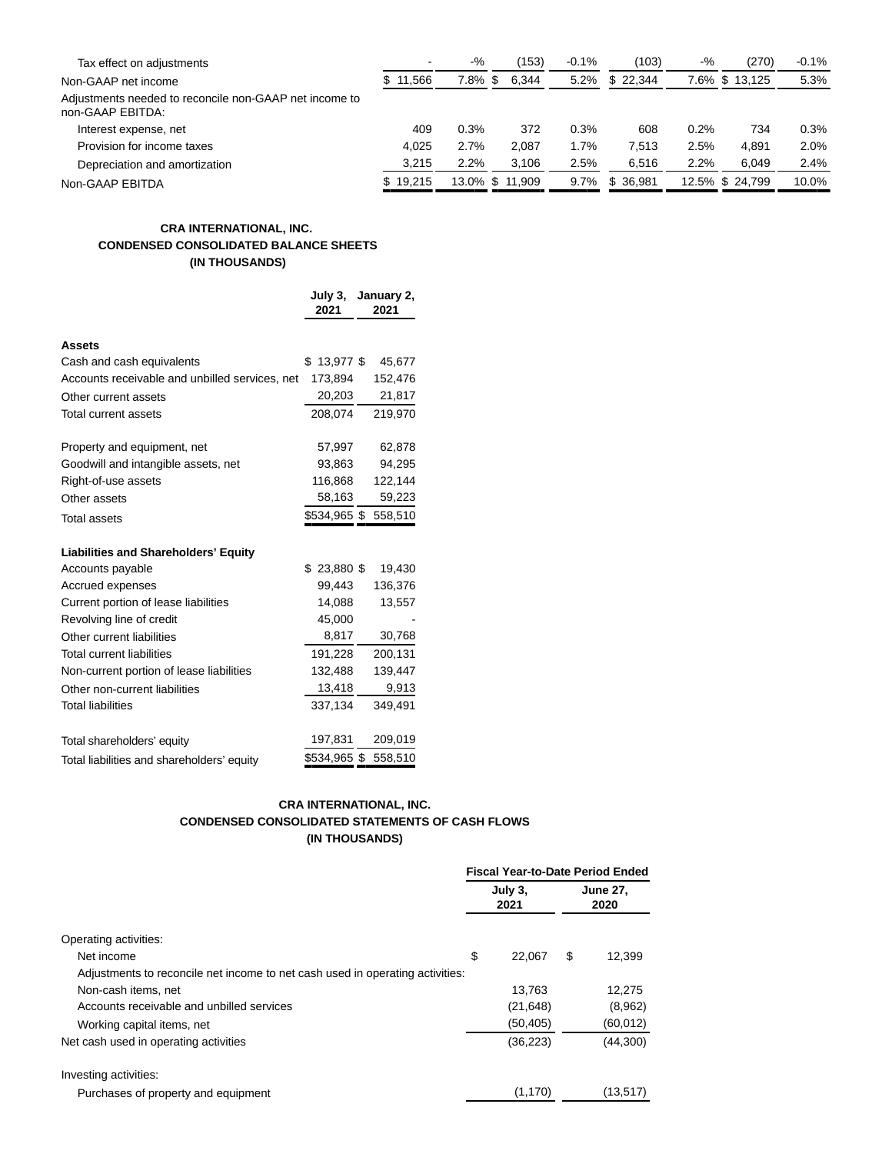| Tax effect on adjustments                                                  |          | $-$ % | (153)           | $-0.1\%$ | (103)     | -%   | (270)           | $-0.1%$ |
|----------------------------------------------------------------------------|----------|-------|-----------------|----------|-----------|------|-----------------|---------|
| Non-GAAP net income                                                        | \$11.566 | 7.8%  | 6,344<br>-SS    | 5.2%     | \$22,344  |      | 7.6% \$ 13,125  | 5.3%    |
| Adjustments needed to reconcile non-GAAP net income to<br>non-GAAP EBITDA: |          |       |                 |          |           |      |                 |         |
| Interest expense, net                                                      | 409      | 0.3%  | 372             | 0.3%     | 608       | 0.2% | 734             | 0.3%    |
| Provision for income taxes                                                 | 4.025    | 2.7%  | 2.087           | 1.7%     | 7.513     | 2.5% | 4.891           | 2.0%    |
| Depreciation and amortization                                              | 3.215    | 2.2%  | 3.106           | 2.5%     | 6.516     | 2.2% | 6.049           | 2.4%    |
| Non-GAAP EBITDA                                                            | \$19.215 |       | 13.0% \$ 11.909 | $9.7\%$  | \$ 36.981 |      | 12.5% \$ 24.799 | 10.0%   |

# **CRA INTERNATIONAL, INC. CONDENSED CONSOLIDATED BALANCE SHEETS (IN THOUSANDS)**

|                                                | July 3.<br>2021 | January 2,<br>2021 |
|------------------------------------------------|-----------------|--------------------|
| Assets                                         |                 |                    |
| Cash and cash equivalents                      | \$13,977\$      | 45,677             |
| Accounts receivable and unbilled services, net | 173,894         | 152,476            |
| Other current assets                           | 20,203          | 21,817             |
| Total current assets                           | 208,074         | 219,970            |
| Property and equipment, net                    | 57,997          | 62,878             |
| Goodwill and intangible assets, net            | 93,863          | 94,295             |
| Right-of-use assets                            | 116,868         | 122,144            |
| Other assets                                   | 58,163          | 59,223             |
| <b>Total assets</b>                            | \$534,965 \$    | 558,510            |
| <b>Liabilities and Shareholders' Equity</b>    |                 |                    |
| Accounts payable                               | \$23,880\$      | 19,430             |
| Accrued expenses                               | 99,443          | 136,376            |
| Current portion of lease liabilities           | 14,088          | 13,557             |
| Revolving line of credit                       | 45,000          |                    |
| Other current liabilities                      | 8,817           | 30,768             |
| <b>Total current liabilities</b>               | 191,228         | 200,131            |
| Non-current portion of lease liabilities       | 132,488         | 139,447            |
| Other non-current liabilities                  | 13,418          | 9,913              |
| <b>Total liabilities</b>                       | 337,134         | 349,491            |
| Total shareholders' equity                     | 197,831         | 209,019            |
| Total liabilities and shareholders' equity     | \$534,965 \$    | 558,510            |

# **CRA INTERNATIONAL, INC. CONDENSED CONSOLIDATED STATEMENTS OF CASH FLOWS (IN THOUSANDS)**

|                                                                               | <b>Fiscal Year-to-Date Period Ended</b> |                 |    |                         |  |  |  |
|-------------------------------------------------------------------------------|-----------------------------------------|-----------------|----|-------------------------|--|--|--|
|                                                                               |                                         | July 3,<br>2021 |    | <b>June 27,</b><br>2020 |  |  |  |
| Operating activities:                                                         |                                         |                 |    |                         |  |  |  |
| Net income                                                                    | \$                                      | 22.067          | \$ | 12,399                  |  |  |  |
| Adjustments to reconcile net income to net cash used in operating activities: |                                         |                 |    |                         |  |  |  |
| Non-cash items, net                                                           |                                         | 13,763          |    | 12,275                  |  |  |  |
| Accounts receivable and unbilled services                                     |                                         | (21, 648)       |    | (8,962)                 |  |  |  |
| Working capital items, net                                                    |                                         | (50, 405)       |    | (60, 012)               |  |  |  |
| Net cash used in operating activities                                         |                                         | (36, 223)       |    | (44,300)                |  |  |  |
| Investing activities:                                                         |                                         |                 |    |                         |  |  |  |
| Purchases of property and equipment                                           |                                         | (1, 170)        |    | (13, 517)               |  |  |  |